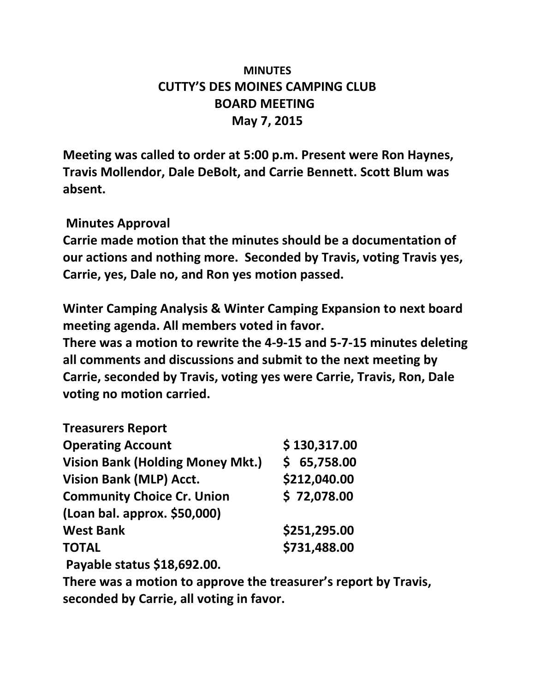# **MINUTES CUTTY'S DES MOINES CAMPING CLUB BOARD MEETING May 7, 2015**

**Meeting was called to order at 5:00 p.m. Present were Ron Haynes, Travis Mollendor, Dale DeBolt, and Carrie Bennett. Scott Blum was absent.**

# **Minutes Approval**

**Carrie made motion that the minutes should be a documentation of our actions and nothing more. Seconded by Travis, voting Travis yes, Carrie, yes, Dale no, and Ron yes motion passed.**

**Winter Camping Analysis & Winter Camping Expansion to next board meeting agenda. All members voted in favor.**

**There was a motion to rewrite the 4-9-15 and 5-7-15 minutes deleting all comments and discussions and submit to the next meeting by Carrie, seconded by Travis, voting yes were Carrie, Travis, Ron, Dale voting no motion carried.**

| <b>Treasurers Report</b>                |              |
|-----------------------------------------|--------------|
| <b>Operating Account</b>                | \$130,317.00 |
| <b>Vision Bank (Holding Money Mkt.)</b> | \$65,758.00  |
| <b>Vision Bank (MLP) Acct.</b>          | \$212,040.00 |
| <b>Community Choice Cr. Union</b>       | \$72,078.00  |
| (Loan bal. approx. \$50,000)            |              |
| <b>West Bank</b>                        | \$251,295.00 |
| <b>TOTAL</b>                            | \$731,488.00 |
| Payable status \$18,692.00.             |              |

**There was a motion to approve the treasurer's report by Travis, seconded by Carrie, all voting in favor.**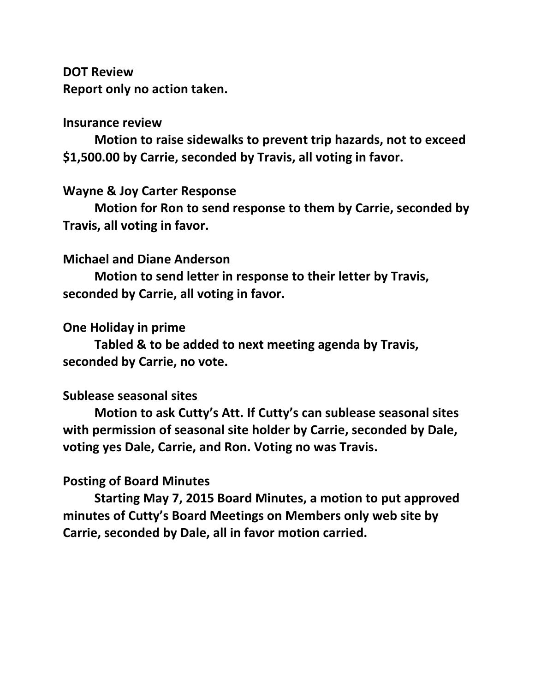**DOT Review Report only no action taken.**

#### **Insurance review**

**Motion to raise sidewalks to prevent trip hazards, not to exceed \$1,500.00 by Carrie, seconded by Travis, all voting in favor.**

## **Wayne & Joy Carter Response**

**Motion for Ron to send response to them by Carrie, seconded by Travis, all voting in favor.** 

#### **Michael and Diane Anderson**

**Motion to send letter in response to their letter by Travis, seconded by Carrie, all voting in favor.**

#### **One Holiday in prime**

**Tabled & to be added to next meeting agenda by Travis, seconded by Carrie, no vote.**

#### **Sublease seasonal sites**

**Motion to ask Cutty's Att. If Cutty's can sublease seasonal sites with permission of seasonal site holder by Carrie, seconded by Dale, voting yes Dale, Carrie, and Ron. Voting no was Travis.**

## **Posting of Board Minutes**

**Starting May 7, 2015 Board Minutes, a motion to put approved minutes of Cutty's Board Meetings on Members only web site by Carrie, seconded by Dale, all in favor motion carried.**